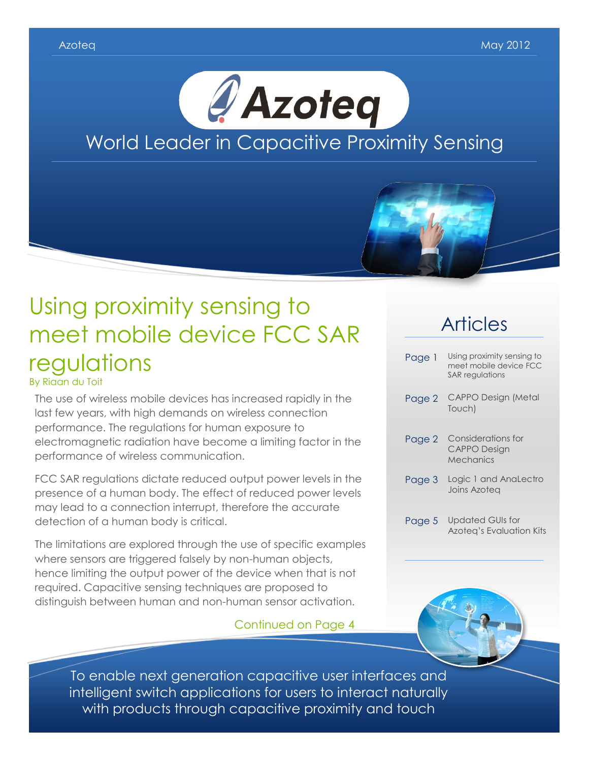



# Using proximity sensing to meet mobile device FCC SAR regulations

By Riaan du Toit

The use of wireless mobile devices has increased rapidly in the last few years, with high demands on wireless connection performance. The regulations for human exposure to electromagnetic radiation have become a limiting factor in the performance of wireless communication.

FCC SAR regulations dictate reduced output power levels in the presence of a human body. The effect of reduced power levels may lead to a connection interrupt, therefore the accurate detection of a human body is critical.

The limitations are explored through the use of specific examples where sensors are triggered falsely by non-human objects, hence limiting the output power of the device when that is not required. Capacitive sensing techniques are proposed to distinguish between human and non-human sensor activation.

Continued on Page 4

## Articles

| Page 1 | Using proximity sensing to<br>meet mobile device FCC<br><b>SAR</b> regulations |
|--------|--------------------------------------------------------------------------------|
| Page 2 | <b>CAPPO Design (Metal</b><br>Touch)                                           |
| Page 2 | Considerations for<br><b>CAPPO Design</b><br>Mechanics                         |
| Page 3 | Logic 1 and AnaLectro<br>Joins Azotea                                          |
| Page 5 | <b>Updated GUIs for</b>                                                        |

Azoteq's Evaluation Kits



To enable next generation capacitive user interfaces and intelligent switch applications for users to interact naturally with products through capacitive proximity and touch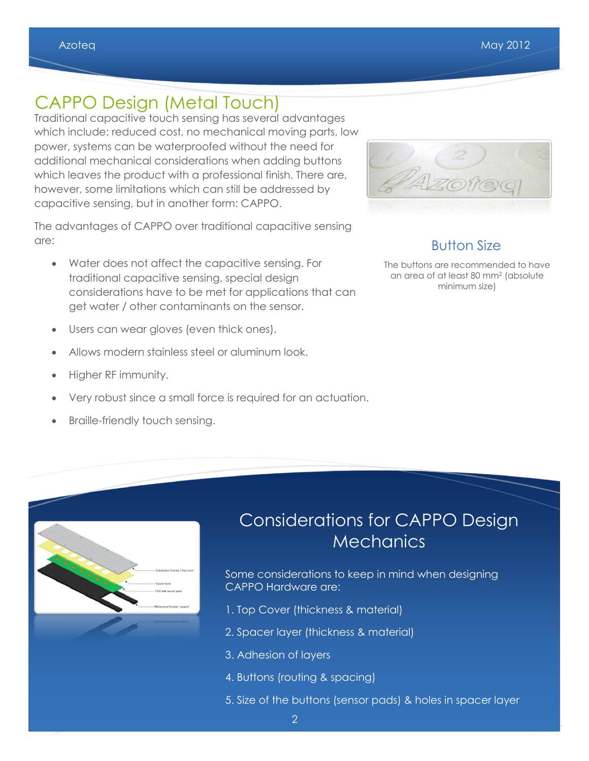## CAPPO Design (Metal Touch)

Traditional capacitive touch sensing has several advantages which include: reduced cost, no mechanical moving parts, low power, systems can be waterproofed without the need for additional mechanical considerations when adding buttons which leaves the product with a professional finish. There are, however, some limitations which can still be addressed by capacitive sensing, but in another form: CAPPO.

The advantages of CAPPO over traditional capacitive sensing are:

- Water does not affect the capacitive sensing. For traditional capacitive sensing, special design considerations have to be met for applications that can get water / other contaminants on the sensor.
- Users can wear gloves (even thick ones).
- Allows modern stainless steel or aluminum look.
- Higher RF immunity.
- Very robust since a small force is required for an actuation.
- Braille-friendly touch sensing.



### Button Size

The buttons are recommended to have an area of at least 80 mm<sup>2</sup> (absolute minimum size)

| <b>Particular</b> | - Conductive Overlay / Top-cover |
|-------------------|----------------------------------|
|                   | - Spacer layer                   |
|                   | PCB with sensor pads             |
|                   | Mechanical Bracket/ support      |
|                   |                                  |
|                   |                                  |
|                   |                                  |
|                   |                                  |
|                   |                                  |
|                   |                                  |
|                   |                                  |
|                   |                                  |
|                   |                                  |
|                   |                                  |

## Considerations for CAPPO Design **Mechanics**

Some considerations to keep in mind when designing CAPPO Hardware are:

- 1. Top Cover (thickness & material)
- 2. Spacer layer (thickness & material)
- 3. Adhesion of layers
- 4. Buttons (routing & spacing)
- 5. Size of the buttons (sensor pads) & holes in spacer layer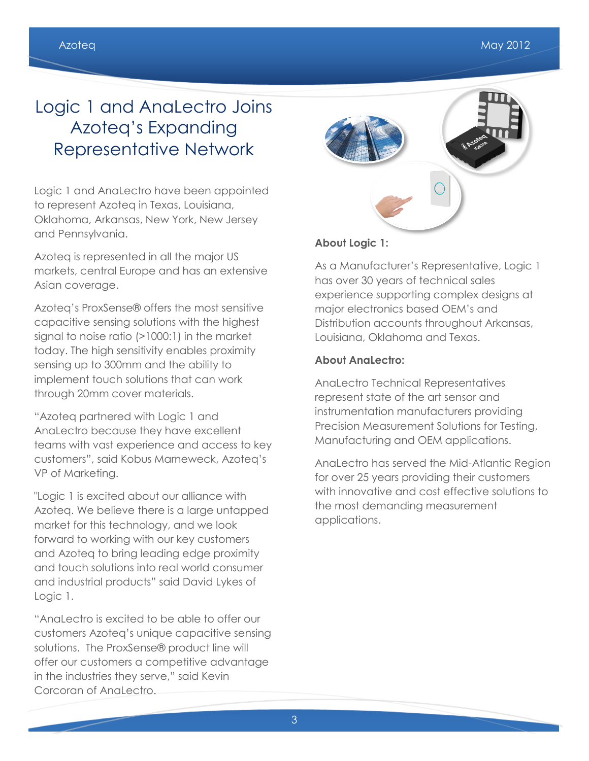## Logic 1 and AnaLectro Joins Azoteq's Expanding Representative Network

Logic 1 and AnaLectro have been appointed to represent Azoteq in Texas, Louisiana, Oklahoma, Arkansas, New York, New Jersey and Pennsylvania.

Azoteq is represented in all the major US markets, central Europe and has an extensive Asian coverage.

Azoteq's ProxSense® offers the most sensitive capacitive sensing solutions with the highest signal to noise ratio (>1000:1) in the market today. The high sensitivity enables proximity sensing up to 300mm and the ability to implement touch solutions that can work through 20mm cover materials.

"Azoteq partnered with Logic 1 and AnaLectro because they have excellent teams with vast experience and access to key customers", said Kobus Marneweck, Azoteq's VP of Marketing.

"Logic 1 is excited about our alliance with Azoteq. We believe there is a large untapped market for this technology, and we look forward to working with our key customers and Azoteq to bring leading edge proximity and touch solutions into real world consumer and industrial products" said David Lykes of Logic 1.

"AnaLectro is excited to be able to offer our customers Azoteq's unique capacitive sensing solutions. The ProxSense® product line will offer our customers a competitive advantage in the industries they serve," said Kevin Corcoran of AnaLectro.

#### **About Logic 1:**

As a Manufacturer's Representative, Logic 1 has over 30 years of technical sales experience supporting complex designs at major electronics based OEM's and Distribution accounts throughout Arkansas, Louisiana, Oklahoma and Texas.

#### **About AnaLectro:**

AnaLectro Technical Representatives represent state of the art sensor and instrumentation manufacturers providing Precision Measurement Solutions for Testing, Manufacturing and OEM applications.

AnaLectro has served the Mid-Atlantic Region for over 25 years providing their customers with innovative and cost effective solutions to the most demanding measurement applications.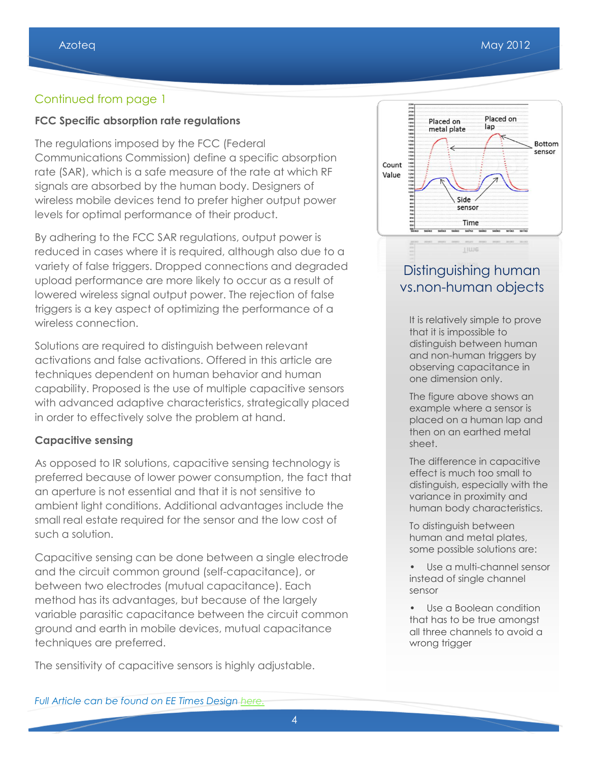#### Continued from page 1

#### **FCC Specific absorption rate regulations**

The regulations imposed by the FCC (Federal Communications Commission) define a specific absorption rate (SAR), which is a safe measure of the rate at which RF signals are absorbed by the human body. Designers of wireless mobile devices tend to prefer higher output power levels for optimal performance of their product.

By adhering to the FCC SAR regulations, output power is reduced in cases where it is required, although also due to a variety of false triggers. Dropped connections and degraded upload performance are more likely to occur as a result of lowered wireless signal output power. The rejection of false triggers is a key aspect of optimizing the performance of a wireless connection.

Solutions are required to distinguish between relevant activations and false activations. Offered in this article are techniques dependent on human behavior and human capability. Proposed is the use of multiple capacitive sensors with advanced adaptive characteristics, strategically placed in order to effectively solve the problem at hand.

#### **Capacitive sensing**

As opposed to IR solutions, capacitive sensing technology is preferred because of lower power consumption, the fact that an aperture is not essential and that it is not sensitive to ambient light conditions. Additional advantages include the small real estate required for the sensor and the low cost of such a solution.

Capacitive sensing can be done between a single electrode and the circuit common ground (self-capacitance), or between two electrodes (mutual capacitance). Each method has its advantages, but because of the largely variable parasitic capacitance between the circuit common ground and earth in mobile devices, mutual capacitance techniques are preferred.

The sensitivity of capacitive sensors is highly adjustable.



### Distinguishing human vs.non-human objects

It is relatively simple to prove that it is impossible to distinguish between human and non-human triggers by observing capacitance in one dimension only.

The figure above shows an example where a sensor is placed on a human lap and then on an earthed metal sheet.

The difference in capacitive effect is much too small to distinguish, especially with the variance in proximity and human body characteristics.

To distinguish between human and metal plates, some possible solutions are:

- Use a multi-channel sensor instead of single channel sensor
- Use a Boolean condition that has to be true amongst all three channels to avoid a wrong trigger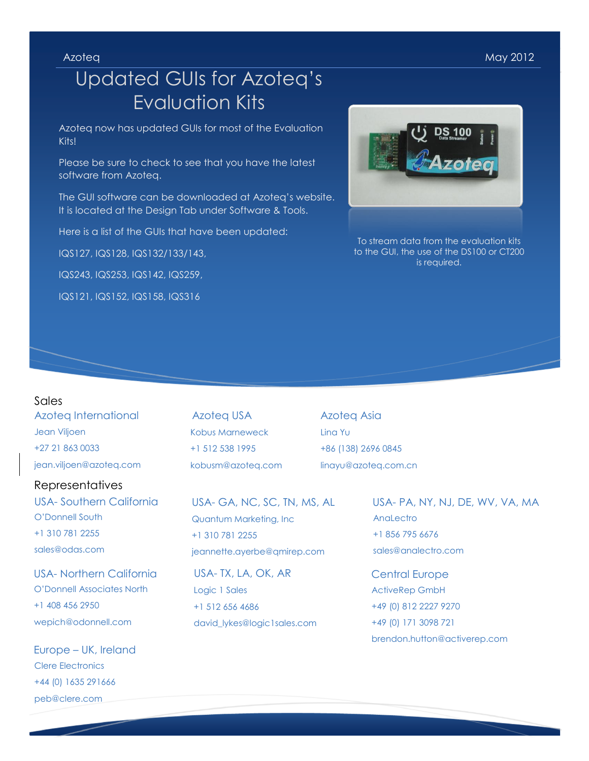Azoteq May 2012

## Updated GUIs for Azoteq's Evaluation Kits

Azoteq now has updated GUIs for most of the Evaluation Kits!

Please be sure to check to see that you have the latest software from Azoteq.

The GUI software can be downloaded at Azoteq's website. It is located at the Design Tab under Software & Tools.

Here is a list of the GUIs that have been updated:

IQS127, IQS128, IQS132/133/143,

IQS243, IQS253, IQS142, IQS259,

IQS121, IQS152, IQS158, IQS316



To stream data from the evaluation kits to the GUI, the use of the DS100 or CT200 is required.

#### Sales

Azoteq International Jean Viljoen +27 21 863 0033 jean.viljoen@azoteq.com

#### Representatives

USA- Southern California O'Donnell South +1 310 781 2255 sales@odas.com

USA- Northern California O'Donnell Associates North +1 408 456 2950 wepich@odonnell.com

Europe – UK, Ireland Clere Electronics +44 (0) 1635 291666 peb@clere.com

Azoteq USA Kobus Marneweck +1 512 538 1995 kobusm@azoteq.com

USA- GA, NC, SC, TN, MS, AL Quantum Marketing, Inc +1 310 781 2255 jeannette.ayerbe@qmirep.com

USA- TX, LA, OK, AR Logic 1 Sales +1 512 656 4686 david\_lykes@logic1sales.com

Azoteq Asia Lina Yu +86 (138) 2696 0845 linayu@azoteq.com.cn

> USA- PA, NY, NJ, DE, WV, VA, MA AnaLectro +1 856 795 6676 sales@analectro.com

Central Europe ActiveRep GmbH +49 (0) 812 2227 9270 +49 (0) 171 3098 721 brendon.hutton@activerep.com